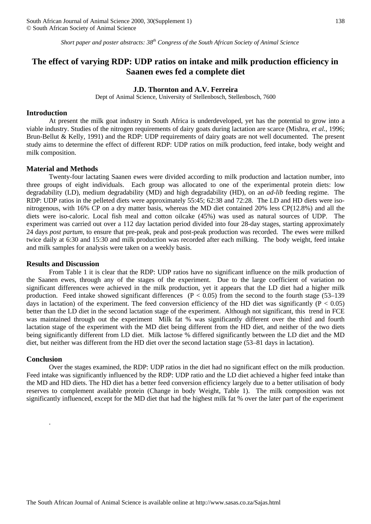*Short paper and poster abstracts: 38th Congress of the South African Society of Animal Science*

# **The effect of varying RDP: UDP ratios on intake and milk production efficiency in Saanen ewes fed a complete diet**

### **J.D. Thornton and A.V. Ferreira**

Dept of Animal Science, University of Stellenbosch, Stellenbosch, 7600

#### **Introduction**

At present the milk goat industry in South Africa is underdeveloped, yet has the potential to grow into a viable industry. Studies of the nitrogen requirements of dairy goats during lactation are scarce (Mishra, *et al.,* 1996; Brun-Bellut & Kelly, 1991) and the RDP: UDP requirements of dairy goats are not well documented. The present study aims to determine the effect of different RDP: UDP ratios on milk production, feed intake, body weight and milk composition.

### **Material and Methods**

Twenty-four lactating Saanen ewes were divided according to milk production and lactation number, into three groups of eight individuals. Each group was allocated to one of the experimental protein diets: low degradability (LD), medium degradability (MD) and high degradability (HD), on an *ad-lib* feeding regime. The RDP: UDP ratios in the pelleted diets were approximately 55:45; 62:38 and 72:28. The LD and HD diets were isonitrogenous, with 16% CP on a dry matter basis, whereas the MD diet contained 20% less CP(12.8%) and all the diets were iso-caloric. Local fish meal and cotton oilcake (45%) was used as natural sources of UDP. The experiment was carried out over a 112 day lactation period divided into four 28-day stages, starting approximately 24 days *post partum*, to ensure that pre-peak, peak and post-peak production was recorded. The ewes were milked twice daily at 6:30 and 15:30 and milk production was recorded after each milking. The body weight, feed intake and milk samples for analysis were taken on a weekly basis.

### **Results and Discussion**

From Table 1 it is clear that the RDP: UDP ratios have no significant influence on the milk production of the Saanen ewes, through any of the stages of the experiment. Due to the large coefficient of variation no significant differences were achieved in the milk production, yet it appears that the LD diet had a higher milk production. Feed intake showed significant differences  $(P < 0.05)$  from the second to the fourth stage (53–139) days in lactation) of the experiment. The feed conversion efficiency of the HD diet was significantly  $(P < 0.05)$ better than the LD diet in the second lactation stage of the experiment. Although not significant, this trend in FCE was maintained through out the experiment Milk fat % was significantly different over the third and fourth lactation stage of the experiment with the MD diet being different from the HD diet, and neither of the two diets being significantly different from LD diet. Milk lactose % differed significantly between the LD diet and the MD diet, but neither was different from the HD diet over the second lactation stage (53–81 days in lactation).

#### **Conclusion**

.

Over the stages examined, the RDP: UDP ratios in the diet had no significant effect on the milk production. Feed intake was significantly influenced by the RDP: UDP ratio and the LD diet achieved a higher feed intake than the MD and HD diets. The HD diet has a better feed conversion efficiency largely due to a better utilisation of body reserves to complement available protein (Change in body Weight, Table 1). The milk composition was not significantly influenced, except for the MD diet that had the highest milk fat % over the later part of the experiment